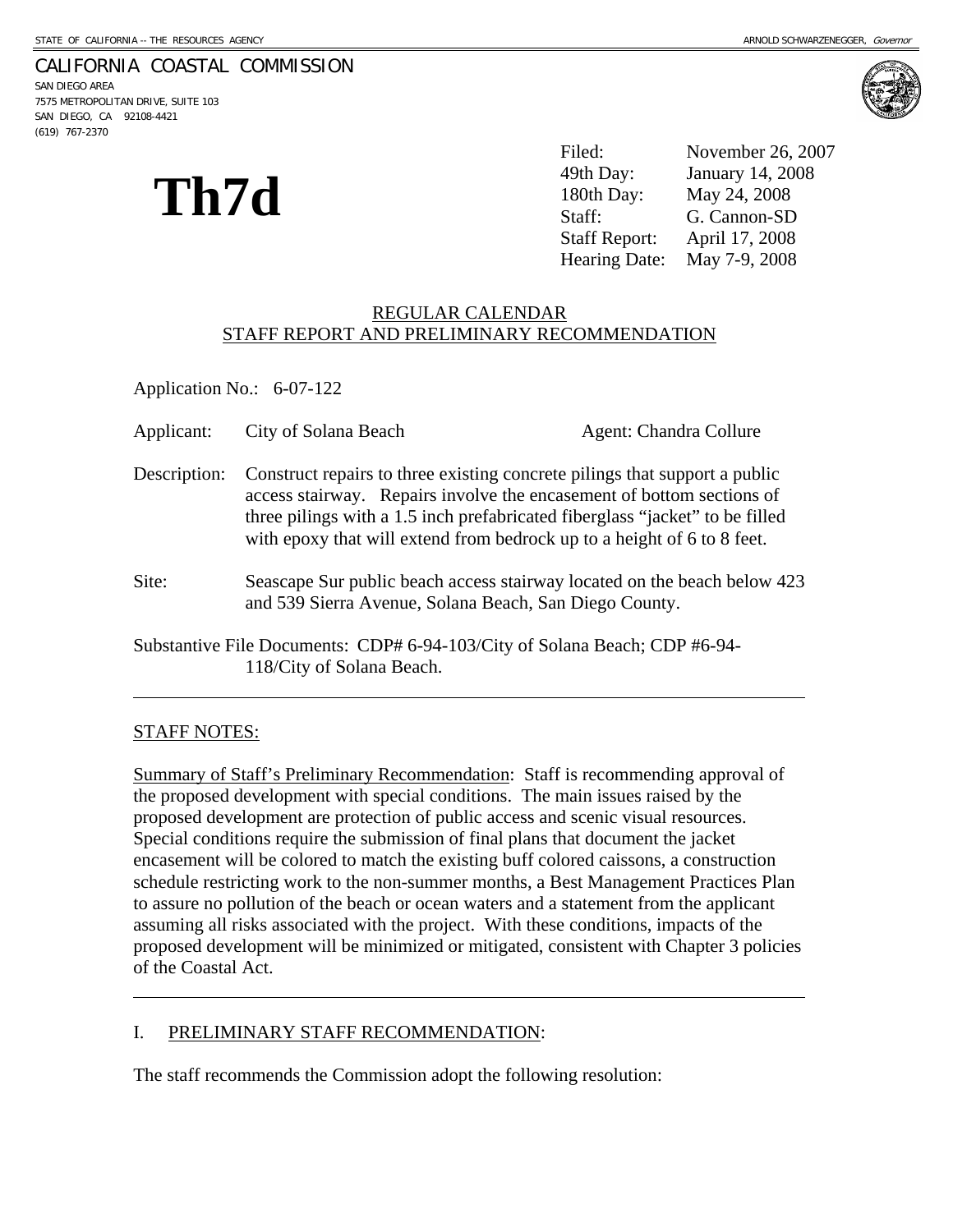# CALIFORNIA COASTAL COMMISSION

SAN DIEGO AREA 7575 METROPOLITAN DRIVE, SUITE 103 SAN DIEGO, CA 92108-4421 (619) 767-2370



Filed: November 26, 2007 49th Day: January 14, 2008 180th Day: May 24, 2008 Staff: G. Cannon-SD Staff Report: April 17, 2008 Hearing Date: May 7-9, 2008



### REGULAR CALENDAR STAFF REPORT AND PRELIMINARY RECOMMENDATION

Application No.: 6-07-122

| Applicant:   | City of Solana Beach                                                                                                                                                                                                                                                                                           | Agent: Chandra Collure                                                   |
|--------------|----------------------------------------------------------------------------------------------------------------------------------------------------------------------------------------------------------------------------------------------------------------------------------------------------------------|--------------------------------------------------------------------------|
| Description: | Construct repairs to three existing concrete pilings that support a public<br>access stairway. Repairs involve the encasement of bottom sections of<br>three pilings with a 1.5 inch prefabricated fiberglass "jacket" to be filled<br>with epoxy that will extend from bedrock up to a height of 6 to 8 feet. |                                                                          |
| Site:        | and 539 Sierra Avenue, Solana Beach, San Diego County.                                                                                                                                                                                                                                                         | Seascape Sur public beach access stairway located on the beach below 423 |
|              | Substantive File Documents: CDP# 6-94-103/City of Solana Beach; CDP #6-94-<br>118/City of Solana Beach.                                                                                                                                                                                                        |                                                                          |

## STAFF NOTES:

 $\overline{a}$ 

 $\overline{a}$ 

Summary of Staff's Preliminary Recommendation: Staff is recommending approval of the proposed development with special conditions. The main issues raised by the proposed development are protection of public access and scenic visual resources. Special conditions require the submission of final plans that document the jacket encasement will be colored to match the existing buff colored caissons, a construction schedule restricting work to the non-summer months, a Best Management Practices Plan to assure no pollution of the beach or ocean waters and a statement from the applicant assuming all risks associated with the project. With these conditions, impacts of the proposed development will be minimized or mitigated, consistent with Chapter 3 policies of the Coastal Act.

## I. PRELIMINARY STAFF RECOMMENDATION:

The staff recommends the Commission adopt the following resolution: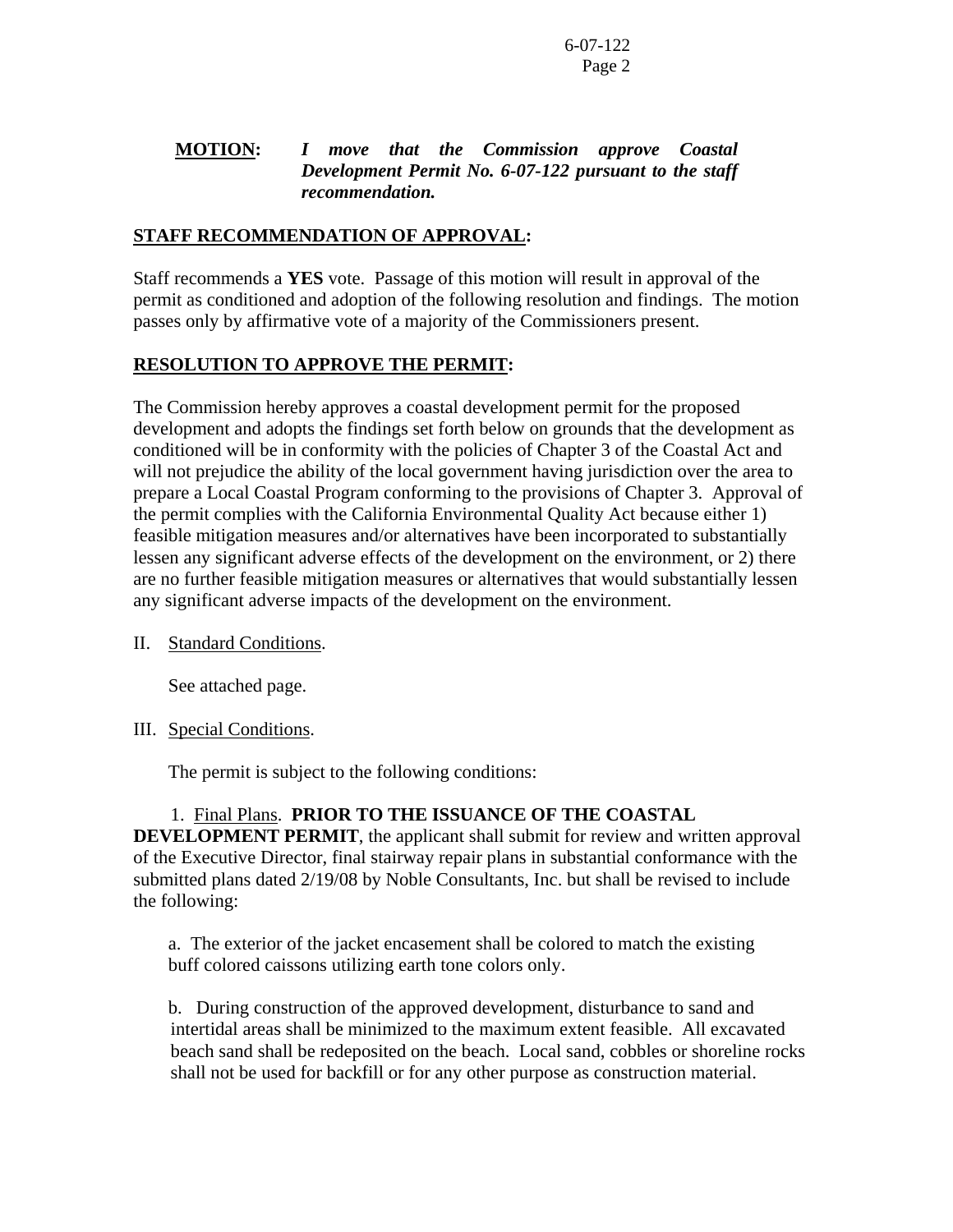## **MOTION:** *I move that the Commission approve Coastal Development Permit No. 6-07-122 pursuant to the staff recommendation.*

# **STAFF RECOMMENDATION OF APPROVAL:**

Staff recommends a **YES** vote. Passage of this motion will result in approval of the permit as conditioned and adoption of the following resolution and findings. The motion passes only by affirmative vote of a majority of the Commissioners present.

# **RESOLUTION TO APPROVE THE PERMIT:**

The Commission hereby approves a coastal development permit for the proposed development and adopts the findings set forth below on grounds that the development as conditioned will be in conformity with the policies of Chapter 3 of the Coastal Act and will not prejudice the ability of the local government having jurisdiction over the area to prepare a Local Coastal Program conforming to the provisions of Chapter 3. Approval of the permit complies with the California Environmental Quality Act because either 1) feasible mitigation measures and/or alternatives have been incorporated to substantially lessen any significant adverse effects of the development on the environment, or 2) there are no further feasible mitigation measures or alternatives that would substantially lessen any significant adverse impacts of the development on the environment.

II. Standard Conditions.

See attached page.

## III. Special Conditions.

The permit is subject to the following conditions:

## 1. Final Plans. **PRIOR TO THE ISSUANCE OF THE COASTAL**

**DEVELOPMENT PERMIT**, the applicant shall submit for review and written approval of the Executive Director, final stairway repair plans in substantial conformance with the submitted plans dated 2/19/08 by Noble Consultants, Inc. but shall be revised to include the following:

a. The exterior of the jacket encasement shall be colored to match the existing buff colored caissons utilizing earth tone colors only.

 b. During construction of the approved development, disturbance to sand and intertidal areas shall be minimized to the maximum extent feasible. All excavated beach sand shall be redeposited on the beach. Local sand, cobbles or shoreline rocks shall not be used for backfill or for any other purpose as construction material.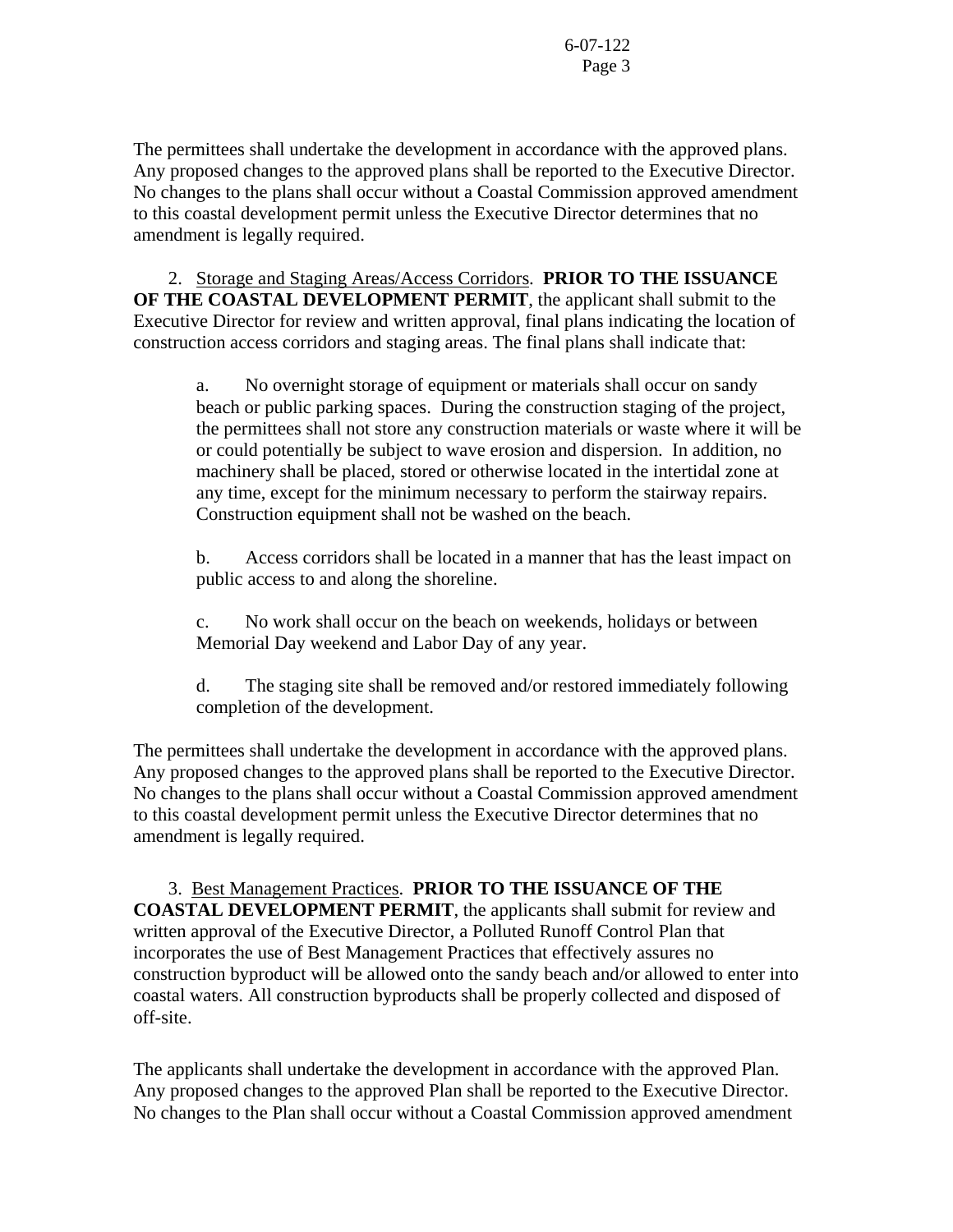The permittees shall undertake the development in accordance with the approved plans. Any proposed changes to the approved plans shall be reported to the Executive Director. No changes to the plans shall occur without a Coastal Commission approved amendment to this coastal development permit unless the Executive Director determines that no amendment is legally required.

 2. Storage and Staging Areas/Access Corridors. **PRIOR TO THE ISSUANCE OF THE COASTAL DEVELOPMENT PERMIT**, the applicant shall submit to the Executive Director for review and written approval, final plans indicating the location of construction access corridors and staging areas. The final plans shall indicate that:

 a. No overnight storage of equipment or materials shall occur on sandy beach or public parking spaces. During the construction staging of the project, the permittees shall not store any construction materials or waste where it will be or could potentially be subject to wave erosion and dispersion. In addition, no machinery shall be placed, stored or otherwise located in the intertidal zone at any time, except for the minimum necessary to perform the stairway repairs. Construction equipment shall not be washed on the beach.

 b. Access corridors shall be located in a manner that has the least impact on public access to and along the shoreline.

 c. No work shall occur on the beach on weekends, holidays or between Memorial Day weekend and Labor Day of any year.

 d. The staging site shall be removed and/or restored immediately following completion of the development.

The permittees shall undertake the development in accordance with the approved plans. Any proposed changes to the approved plans shall be reported to the Executive Director. No changes to the plans shall occur without a Coastal Commission approved amendment to this coastal development permit unless the Executive Director determines that no amendment is legally required.

 3. Best Management Practices. **PRIOR TO THE ISSUANCE OF THE COASTAL DEVELOPMENT PERMIT**, the applicants shall submit for review and written approval of the Executive Director, a Polluted Runoff Control Plan that incorporates the use of Best Management Practices that effectively assures no construction byproduct will be allowed onto the sandy beach and/or allowed to enter into coastal waters. All construction byproducts shall be properly collected and disposed of off-site.

The applicants shall undertake the development in accordance with the approved Plan. Any proposed changes to the approved Plan shall be reported to the Executive Director. No changes to the Plan shall occur without a Coastal Commission approved amendment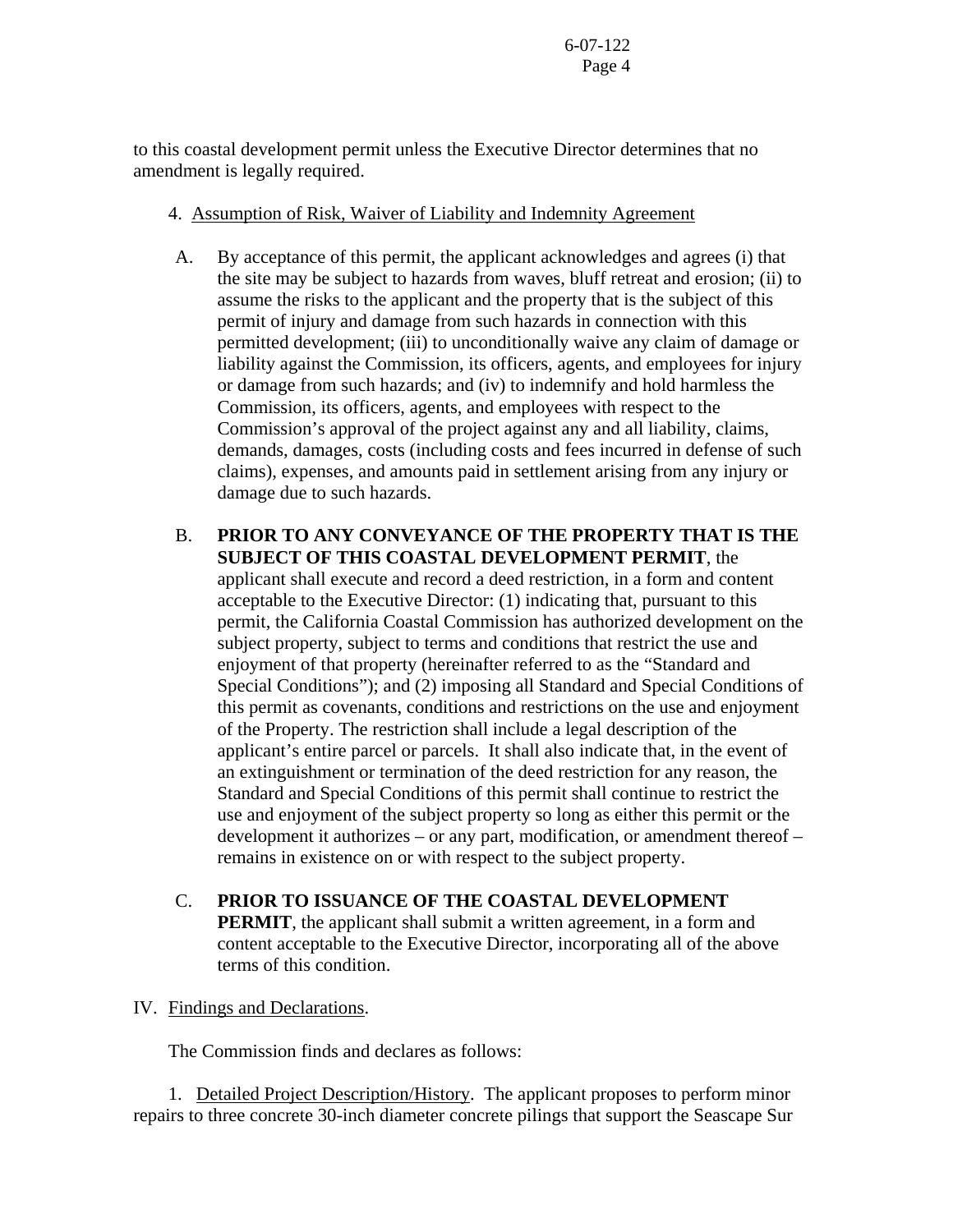to this coastal development permit unless the Executive Director determines that no amendment is legally required.

## 4. Assumption of Risk, Waiver of Liability and Indemnity Agreement

- A. By acceptance of this permit, the applicant acknowledges and agrees (i) that the site may be subject to hazards from waves, bluff retreat and erosion; (ii) to assume the risks to the applicant and the property that is the subject of this permit of injury and damage from such hazards in connection with this permitted development; (iii) to unconditionally waive any claim of damage or liability against the Commission, its officers, agents, and employees for injury or damage from such hazards; and (iv) to indemnify and hold harmless the Commission, its officers, agents, and employees with respect to the Commission's approval of the project against any and all liability, claims, demands, damages, costs (including costs and fees incurred in defense of such claims), expenses, and amounts paid in settlement arising from any injury or damage due to such hazards.
- B. **PRIOR TO ANY CONVEYANCE OF THE PROPERTY THAT IS THE SUBJECT OF THIS COASTAL DEVELOPMENT PERMIT**, the applicant shall execute and record a deed restriction, in a form and content acceptable to the Executive Director: (1) indicating that, pursuant to this permit, the California Coastal Commission has authorized development on the subject property, subject to terms and conditions that restrict the use and enjoyment of that property (hereinafter referred to as the "Standard and Special Conditions"); and (2) imposing all Standard and Special Conditions of this permit as covenants, conditions and restrictions on the use and enjoyment of the Property. The restriction shall include a legal description of the applicant's entire parcel or parcels. It shall also indicate that, in the event of an extinguishment or termination of the deed restriction for any reason, the Standard and Special Conditions of this permit shall continue to restrict the use and enjoyment of the subject property so long as either this permit or the development it authorizes – or any part, modification, or amendment thereof – remains in existence on or with respect to the subject property.
- C. **PRIOR TO ISSUANCE OF THE COASTAL DEVELOPMENT PERMIT**, the applicant shall submit a written agreement, in a form and content acceptable to the Executive Director, incorporating all of the above terms of this condition.

# IV. Findings and Declarations.

The Commission finds and declares as follows:

 1. Detailed Project Description/History. The applicant proposes to perform minor repairs to three concrete 30-inch diameter concrete pilings that support the Seascape Sur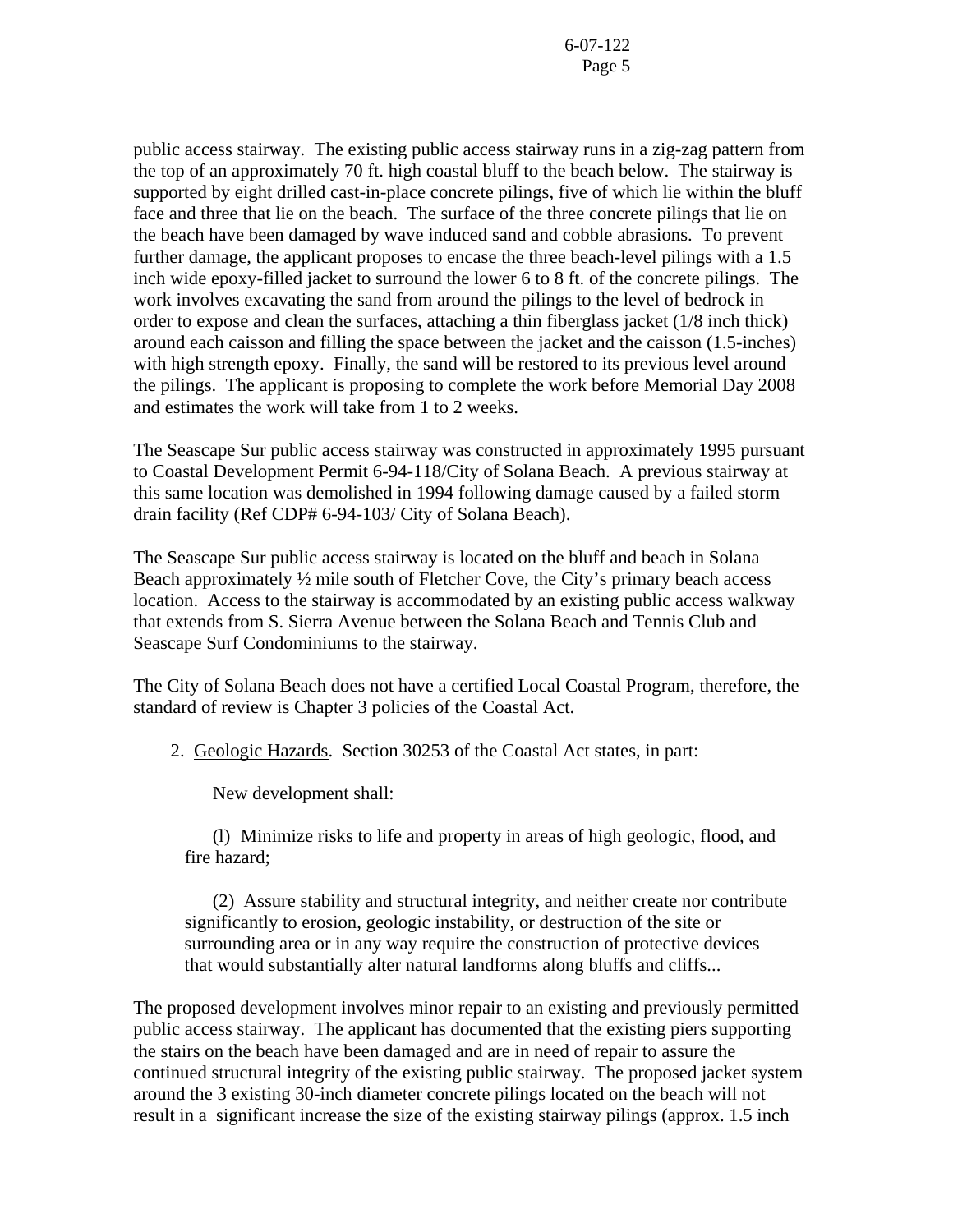public access stairway. The existing public access stairway runs in a zig-zag pattern from the top of an approximately 70 ft. high coastal bluff to the beach below. The stairway is supported by eight drilled cast-in-place concrete pilings, five of which lie within the bluff face and three that lie on the beach. The surface of the three concrete pilings that lie on the beach have been damaged by wave induced sand and cobble abrasions. To prevent further damage, the applicant proposes to encase the three beach-level pilings with a 1.5 inch wide epoxy-filled jacket to surround the lower 6 to 8 ft. of the concrete pilings. The work involves excavating the sand from around the pilings to the level of bedrock in order to expose and clean the surfaces, attaching a thin fiberglass jacket (1/8 inch thick) around each caisson and filling the space between the jacket and the caisson (1.5-inches) with high strength epoxy. Finally, the sand will be restored to its previous level around the pilings. The applicant is proposing to complete the work before Memorial Day 2008 and estimates the work will take from 1 to 2 weeks.

The Seascape Sur public access stairway was constructed in approximately 1995 pursuant to Coastal Development Permit 6-94-118/City of Solana Beach. A previous stairway at this same location was demolished in 1994 following damage caused by a failed storm drain facility (Ref CDP# 6-94-103/ City of Solana Beach).

The Seascape Sur public access stairway is located on the bluff and beach in Solana Beach approximately ½ mile south of Fletcher Cove, the City's primary beach access location. Access to the stairway is accommodated by an existing public access walkway that extends from S. Sierra Avenue between the Solana Beach and Tennis Club and Seascape Surf Condominiums to the stairway.

The City of Solana Beach does not have a certified Local Coastal Program, therefore, the standard of review is Chapter 3 policies of the Coastal Act.

2. Geologic Hazards. Section 30253 of the Coastal Act states, in part:

New development shall:

(l) Minimize risks to life and property in areas of high geologic, flood, and fire hazard;

 (2) Assure stability and structural integrity, and neither create nor contribute significantly to erosion, geologic instability, or destruction of the site or surrounding area or in any way require the construction of protective devices that would substantially alter natural landforms along bluffs and cliffs...

The proposed development involves minor repair to an existing and previously permitted public access stairway. The applicant has documented that the existing piers supporting the stairs on the beach have been damaged and are in need of repair to assure the continued structural integrity of the existing public stairway. The proposed jacket system around the 3 existing 30-inch diameter concrete pilings located on the beach will not result in a significant increase the size of the existing stairway pilings (approx. 1.5 inch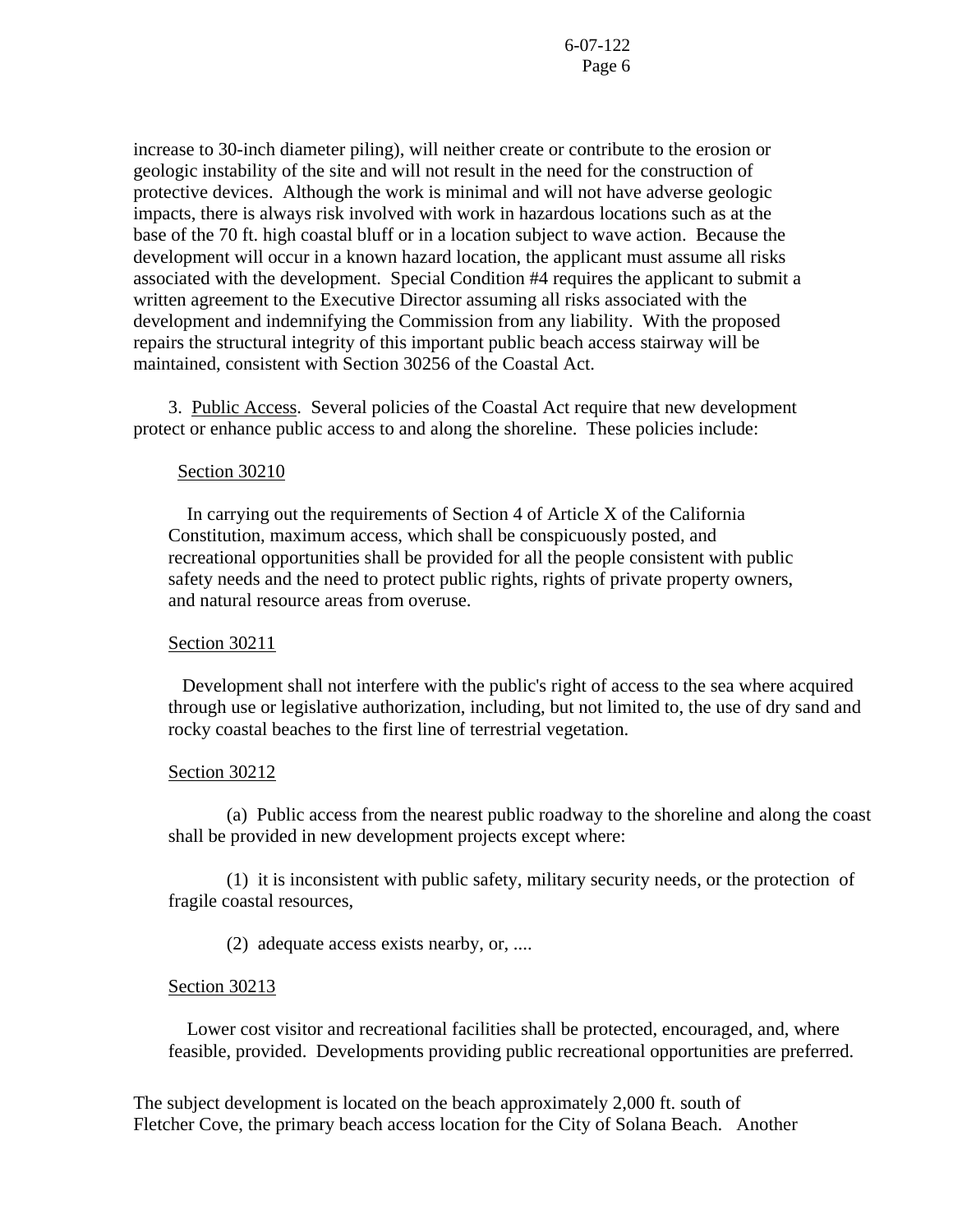increase to 30-inch diameter piling), will neither create or contribute to the erosion or geologic instability of the site and will not result in the need for the construction of protective devices. Although the work is minimal and will not have adverse geologic impacts, there is always risk involved with work in hazardous locations such as at the base of the 70 ft. high coastal bluff or in a location subject to wave action. Because the development will occur in a known hazard location, the applicant must assume all risks associated with the development. Special Condition #4 requires the applicant to submit a written agreement to the Executive Director assuming all risks associated with the development and indemnifying the Commission from any liability. With the proposed repairs the structural integrity of this important public beach access stairway will be maintained, consistent with Section 30256 of the Coastal Act.

 3. Public Access. Several policies of the Coastal Act require that new development protect or enhance public access to and along the shoreline. These policies include:

### Section 30210

 In carrying out the requirements of Section 4 of Article X of the California Constitution, maximum access, which shall be conspicuously posted, and recreational opportunities shall be provided for all the people consistent with public safety needs and the need to protect public rights, rights of private property owners, and natural resource areas from overuse.

#### Section 30211

 Development shall not interfere with the public's right of access to the sea where acquired through use or legislative authorization, including, but not limited to, the use of dry sand and rocky coastal beaches to the first line of terrestrial vegetation.

#### Section 30212

 (a) Public access from the nearest public roadway to the shoreline and along the coast shall be provided in new development projects except where:

 (1) it is inconsistent with public safety, military security needs, or the protection of fragile coastal resources,

(2) adequate access exists nearby, or, ....

#### Section 30213

 Lower cost visitor and recreational facilities shall be protected, encouraged, and, where feasible, provided. Developments providing public recreational opportunities are preferred.

The subject development is located on the beach approximately 2,000 ft. south of Fletcher Cove, the primary beach access location for the City of Solana Beach. Another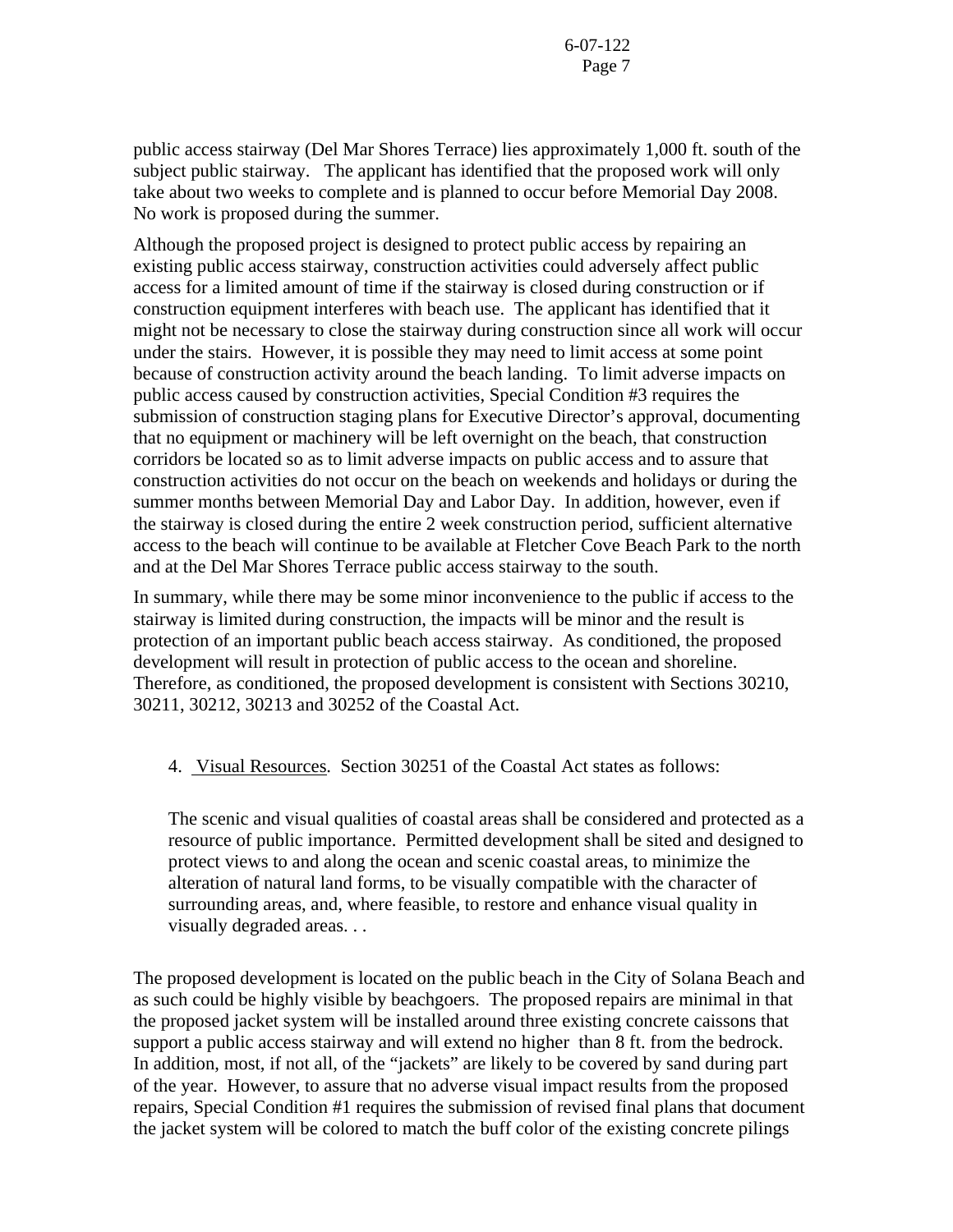public access stairway (Del Mar Shores Terrace) lies approximately 1,000 ft. south of the subject public stairway. The applicant has identified that the proposed work will only take about two weeks to complete and is planned to occur before Memorial Day 2008. No work is proposed during the summer.

Although the proposed project is designed to protect public access by repairing an existing public access stairway, construction activities could adversely affect public access for a limited amount of time if the stairway is closed during construction or if construction equipment interferes with beach use. The applicant has identified that it might not be necessary to close the stairway during construction since all work will occur under the stairs. However, it is possible they may need to limit access at some point because of construction activity around the beach landing. To limit adverse impacts on public access caused by construction activities, Special Condition #3 requires the submission of construction staging plans for Executive Director's approval, documenting that no equipment or machinery will be left overnight on the beach, that construction corridors be located so as to limit adverse impacts on public access and to assure that construction activities do not occur on the beach on weekends and holidays or during the summer months between Memorial Day and Labor Day. In addition, however, even if the stairway is closed during the entire 2 week construction period, sufficient alternative access to the beach will continue to be available at Fletcher Cove Beach Park to the north and at the Del Mar Shores Terrace public access stairway to the south.

In summary, while there may be some minor inconvenience to the public if access to the stairway is limited during construction, the impacts will be minor and the result is protection of an important public beach access stairway. As conditioned, the proposed development will result in protection of public access to the ocean and shoreline. Therefore, as conditioned, the proposed development is consistent with Sections 30210, 30211, 30212, 30213 and 30252 of the Coastal Act.

4. Visual Resources. Section 30251 of the Coastal Act states as follows:

The scenic and visual qualities of coastal areas shall be considered and protected as a resource of public importance. Permitted development shall be sited and designed to protect views to and along the ocean and scenic coastal areas, to minimize the alteration of natural land forms, to be visually compatible with the character of surrounding areas, and, where feasible, to restore and enhance visual quality in visually degraded areas. . .

The proposed development is located on the public beach in the City of Solana Beach and as such could be highly visible by beachgoers. The proposed repairs are minimal in that the proposed jacket system will be installed around three existing concrete caissons that support a public access stairway and will extend no higher than 8 ft. from the bedrock. In addition, most, if not all, of the "jackets" are likely to be covered by sand during part of the year. However, to assure that no adverse visual impact results from the proposed repairs, Special Condition #1 requires the submission of revised final plans that document the jacket system will be colored to match the buff color of the existing concrete pilings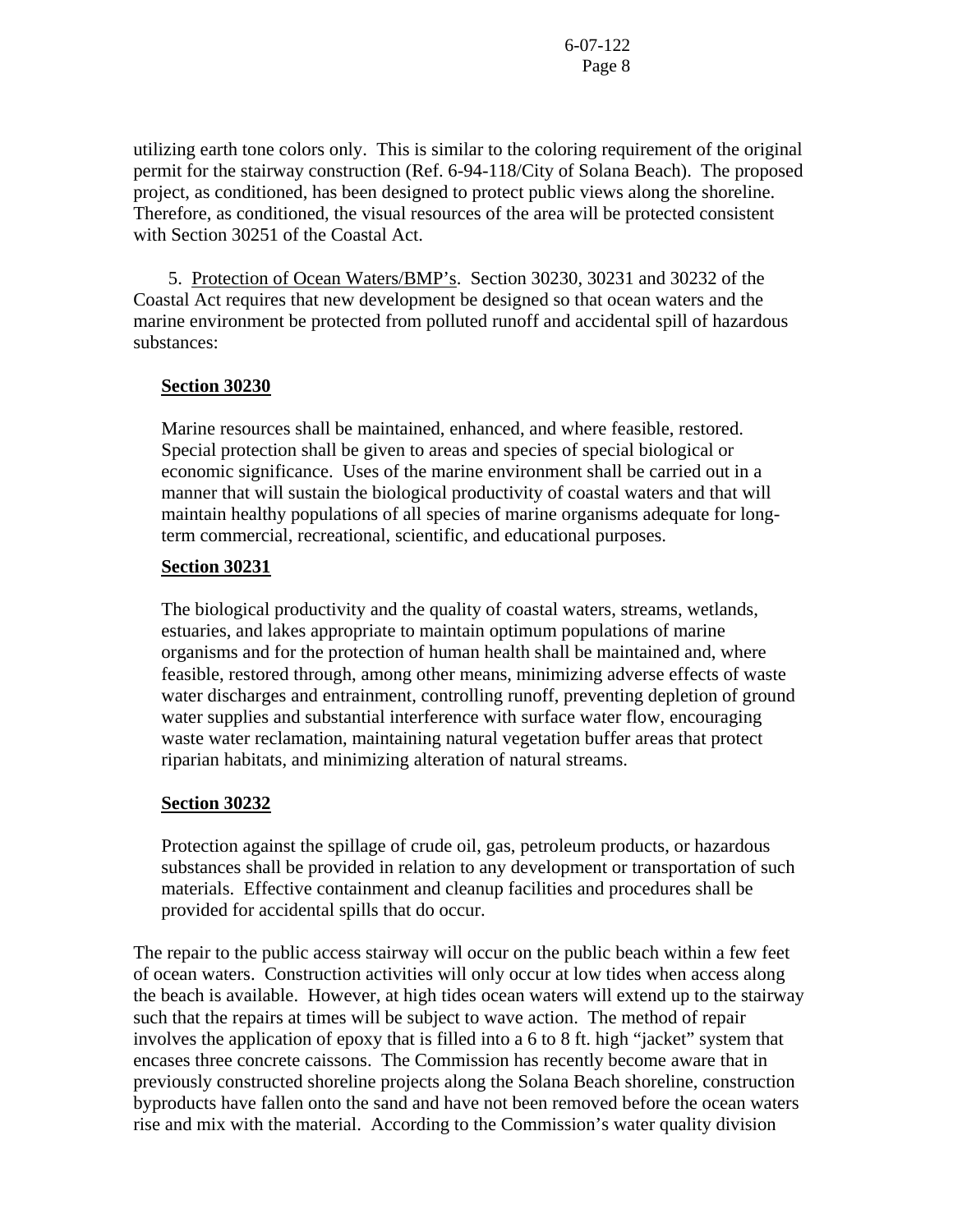utilizing earth tone colors only. This is similar to the coloring requirement of the original permit for the stairway construction (Ref. 6-94-118/City of Solana Beach). The proposed project, as conditioned, has been designed to protect public views along the shoreline. Therefore, as conditioned, the visual resources of the area will be protected consistent with Section 30251 of the Coastal Act.

 5. Protection of Ocean Waters/BMP's. Section 30230, 30231 and 30232 of the Coastal Act requires that new development be designed so that ocean waters and the marine environment be protected from polluted runoff and accidental spill of hazardous substances:

## **Section 30230**

Marine resources shall be maintained, enhanced, and where feasible, restored. Special protection shall be given to areas and species of special biological or economic significance. Uses of the marine environment shall be carried out in a manner that will sustain the biological productivity of coastal waters and that will maintain healthy populations of all species of marine organisms adequate for longterm commercial, recreational, scientific, and educational purposes.

### **Section 30231**

The biological productivity and the quality of coastal waters, streams, wetlands, estuaries, and lakes appropriate to maintain optimum populations of marine organisms and for the protection of human health shall be maintained and, where feasible, restored through, among other means, minimizing adverse effects of waste water discharges and entrainment, controlling runoff, preventing depletion of ground water supplies and substantial interference with surface water flow, encouraging waste water reclamation, maintaining natural vegetation buffer areas that protect riparian habitats, and minimizing alteration of natural streams.

### **Section 30232**

Protection against the spillage of crude oil, gas, petroleum products, or hazardous substances shall be provided in relation to any development or transportation of such materials. Effective containment and cleanup facilities and procedures shall be provided for accidental spills that do occur.

The repair to the public access stairway will occur on the public beach within a few feet of ocean waters. Construction activities will only occur at low tides when access along the beach is available. However, at high tides ocean waters will extend up to the stairway such that the repairs at times will be subject to wave action. The method of repair involves the application of epoxy that is filled into a 6 to 8 ft. high "jacket" system that encases three concrete caissons. The Commission has recently become aware that in previously constructed shoreline projects along the Solana Beach shoreline, construction byproducts have fallen onto the sand and have not been removed before the ocean waters rise and mix with the material. According to the Commission's water quality division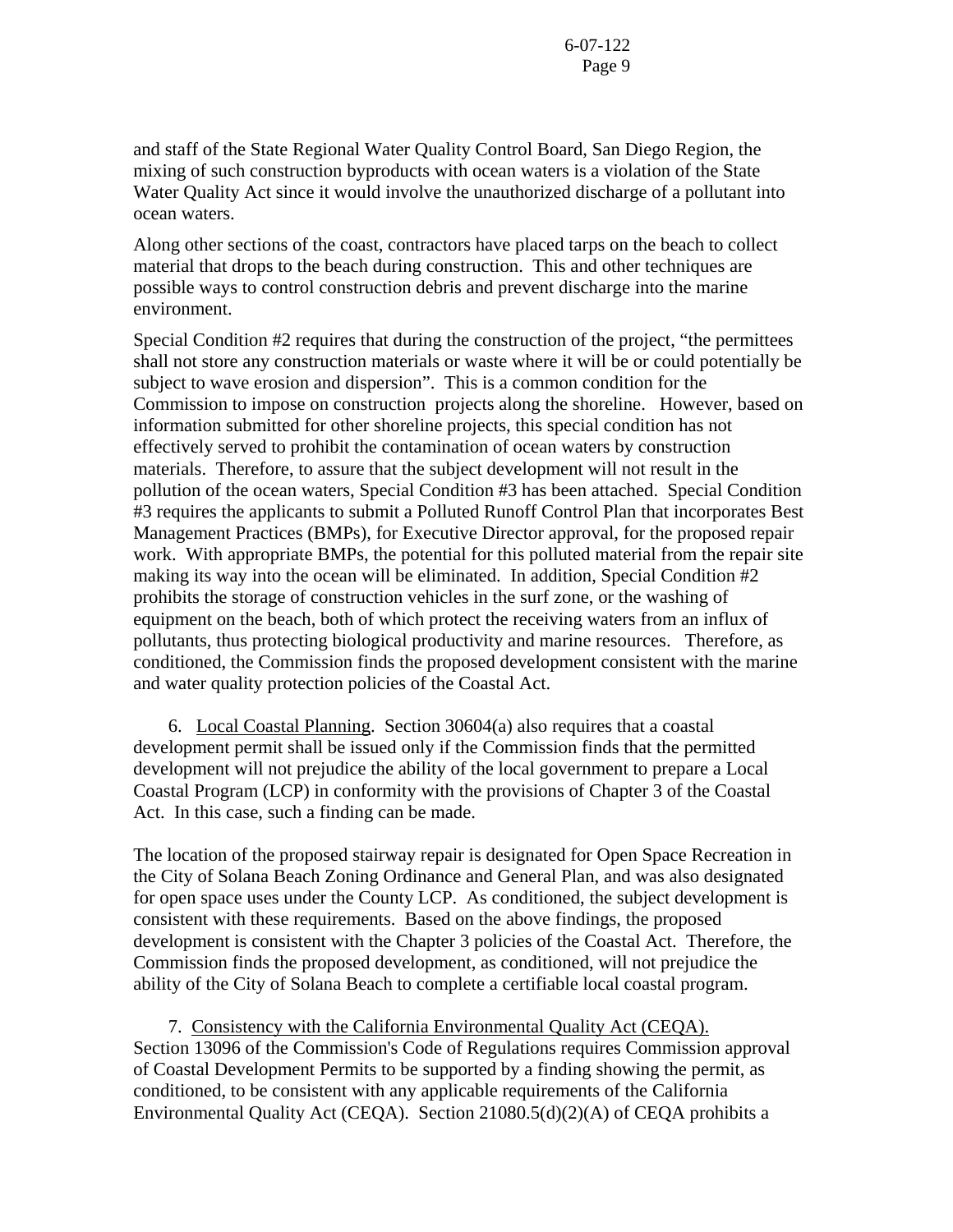and staff of the State Regional Water Quality Control Board, San Diego Region, the mixing of such construction byproducts with ocean waters is a violation of the State Water Quality Act since it would involve the unauthorized discharge of a pollutant into ocean waters.

Along other sections of the coast, contractors have placed tarps on the beach to collect material that drops to the beach during construction. This and other techniques are possible ways to control construction debris and prevent discharge into the marine environment.

Special Condition #2 requires that during the construction of the project, "the permittees shall not store any construction materials or waste where it will be or could potentially be subject to wave erosion and dispersion". This is a common condition for the Commission to impose on construction projects along the shoreline. However, based on information submitted for other shoreline projects, this special condition has not effectively served to prohibit the contamination of ocean waters by construction materials. Therefore, to assure that the subject development will not result in the pollution of the ocean waters, Special Condition #3 has been attached. Special Condition #3 requires the applicants to submit a Polluted Runoff Control Plan that incorporates Best Management Practices (BMPs), for Executive Director approval, for the proposed repair work. With appropriate BMPs, the potential for this polluted material from the repair site making its way into the ocean will be eliminated. In addition, Special Condition #2 prohibits the storage of construction vehicles in the surf zone, or the washing of equipment on the beach, both of which protect the receiving waters from an influx of pollutants, thus protecting biological productivity and marine resources. Therefore, as conditioned, the Commission finds the proposed development consistent with the marine and water quality protection policies of the Coastal Act.

 6. Local Coastal Planning. Section 30604(a) also requires that a coastal development permit shall be issued only if the Commission finds that the permitted development will not prejudice the ability of the local government to prepare a Local Coastal Program (LCP) in conformity with the provisions of Chapter 3 of the Coastal Act. In this case, such a finding can be made.

The location of the proposed stairway repair is designated for Open Space Recreation in the City of Solana Beach Zoning Ordinance and General Plan, and was also designated for open space uses under the County LCP. As conditioned, the subject development is consistent with these requirements. Based on the above findings, the proposed development is consistent with the Chapter 3 policies of the Coastal Act. Therefore, the Commission finds the proposed development, as conditioned, will not prejudice the ability of the City of Solana Beach to complete a certifiable local coastal program.

 7. Consistency with the California Environmental Quality Act (CEQA). Section 13096 of the Commission's Code of Regulations requires Commission approval of Coastal Development Permits to be supported by a finding showing the permit, as conditioned, to be consistent with any applicable requirements of the California Environmental Quality Act (CEQA). Section 21080.5(d)(2)(A) of CEQA prohibits a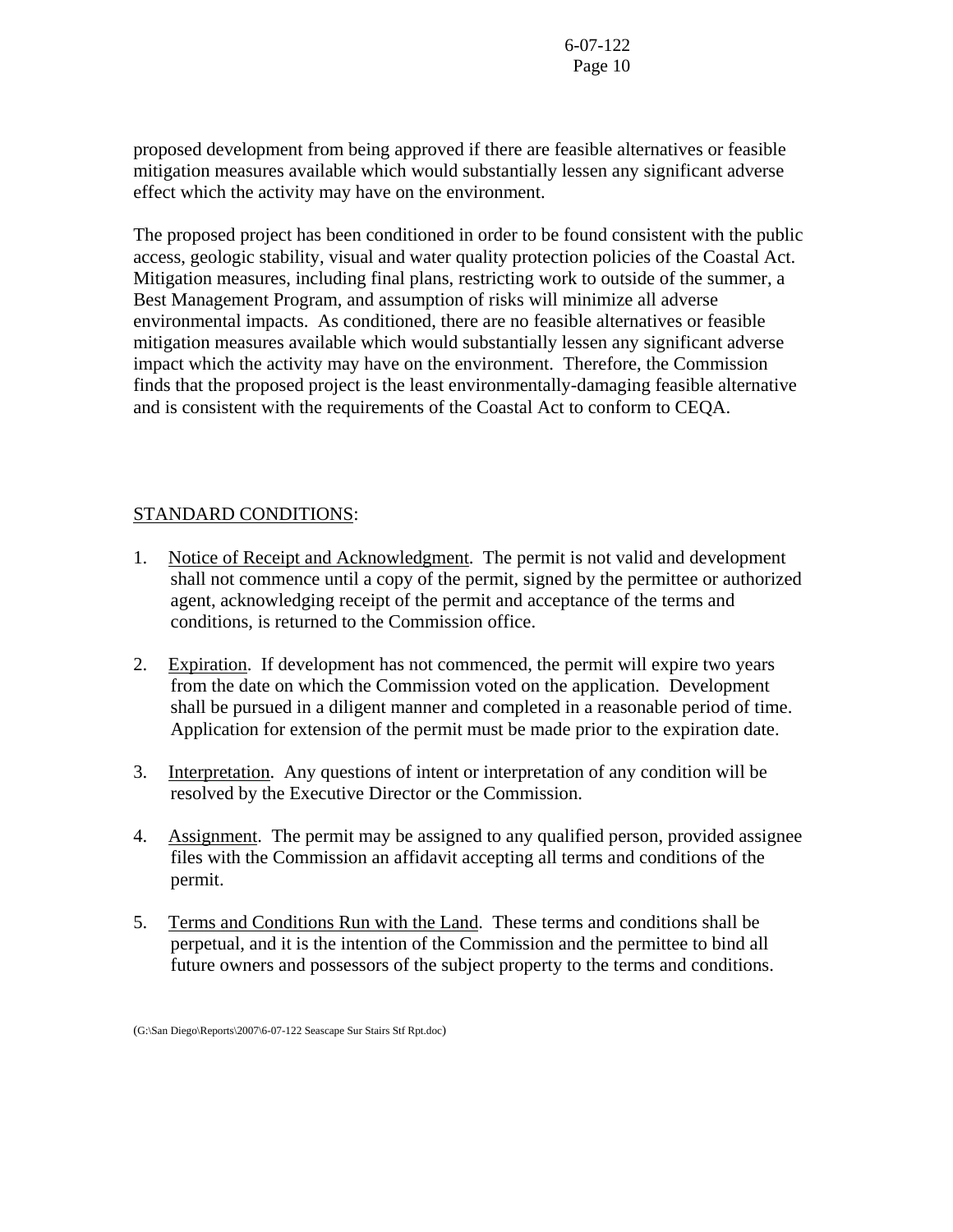proposed development from being approved if there are feasible alternatives or feasible mitigation measures available which would substantially lessen any significant adverse effect which the activity may have on the environment.

The proposed project has been conditioned in order to be found consistent with the public access, geologic stability, visual and water quality protection policies of the Coastal Act. Mitigation measures, including final plans, restricting work to outside of the summer, a Best Management Program, and assumption of risks will minimize all adverse environmental impacts. As conditioned, there are no feasible alternatives or feasible mitigation measures available which would substantially lessen any significant adverse impact which the activity may have on the environment. Therefore, the Commission finds that the proposed project is the least environmentally-damaging feasible alternative and is consistent with the requirements of the Coastal Act to conform to CEQA.

# STANDARD CONDITIONS:

- 1. Notice of Receipt and Acknowledgment. The permit is not valid and development shall not commence until a copy of the permit, signed by the permittee or authorized agent, acknowledging receipt of the permit and acceptance of the terms and conditions, is returned to the Commission office.
- 2. Expiration. If development has not commenced, the permit will expire two years from the date on which the Commission voted on the application. Development shall be pursued in a diligent manner and completed in a reasonable period of time. Application for extension of the permit must be made prior to the expiration date.
- 3. Interpretation. Any questions of intent or interpretation of any condition will be resolved by the Executive Director or the Commission.
- 4. Assignment. The permit may be assigned to any qualified person, provided assignee files with the Commission an affidavit accepting all terms and conditions of the permit.
- 5. Terms and Conditions Run with the Land. These terms and conditions shall be perpetual, and it is the intention of the Commission and the permittee to bind all future owners and possessors of the subject property to the terms and conditions.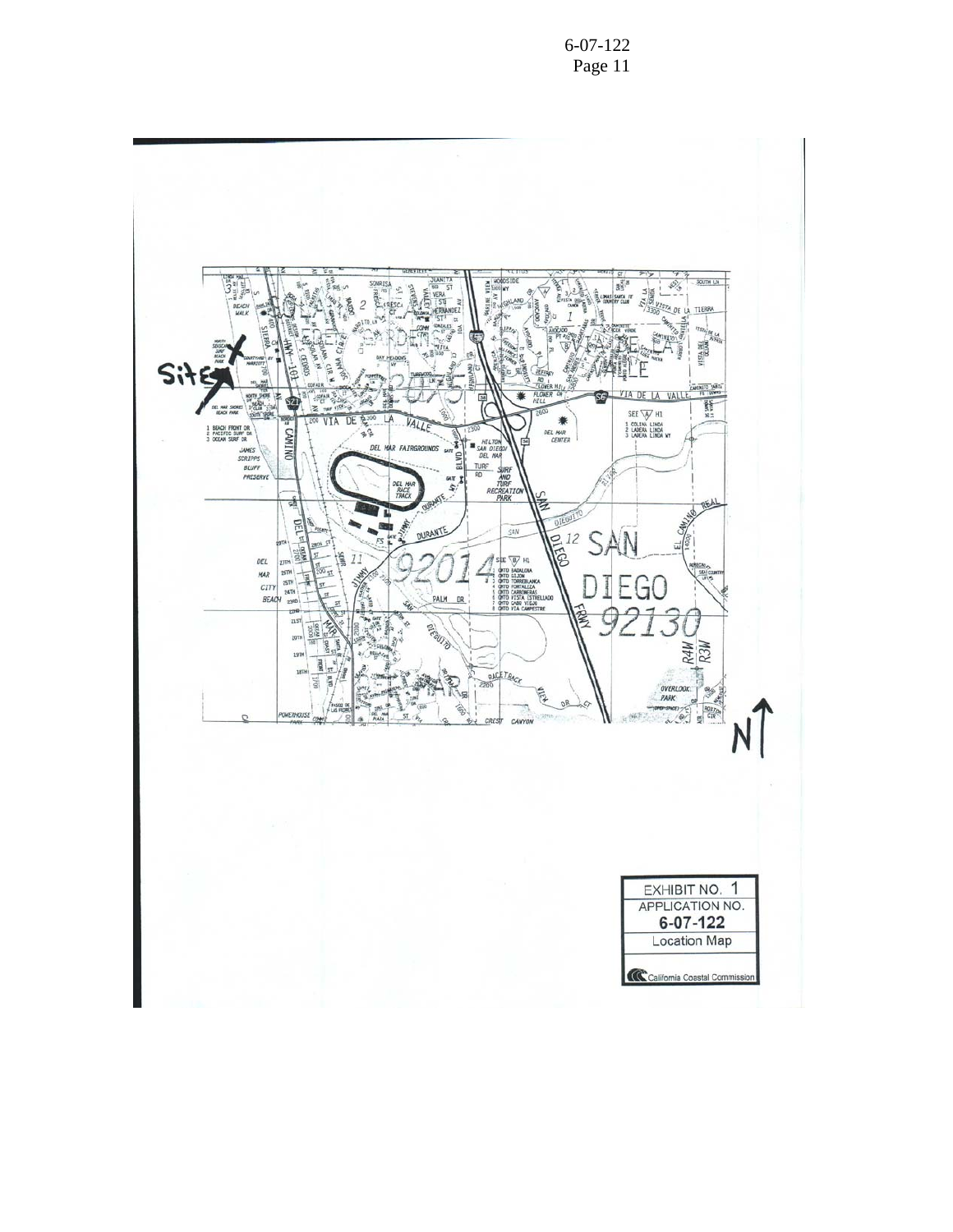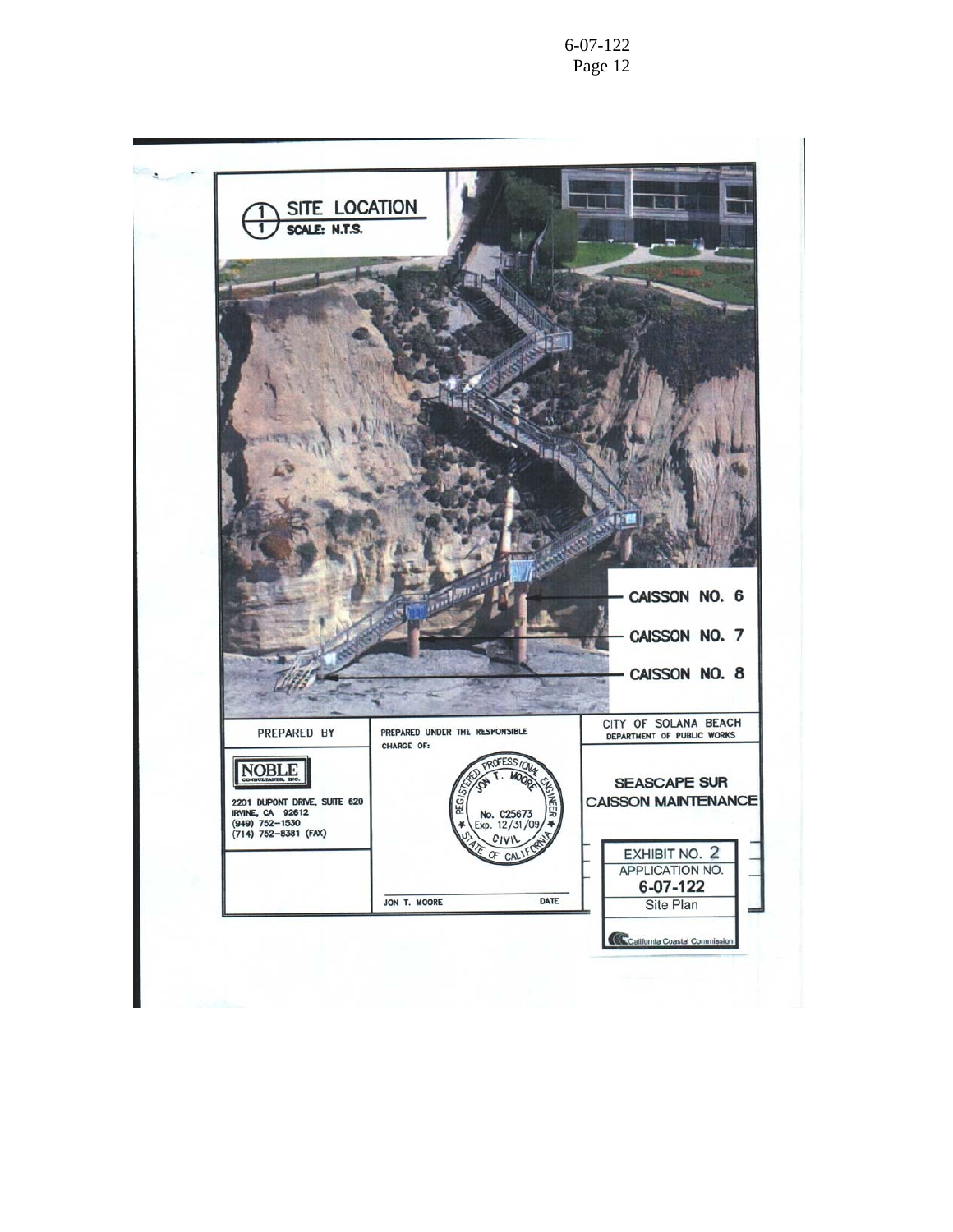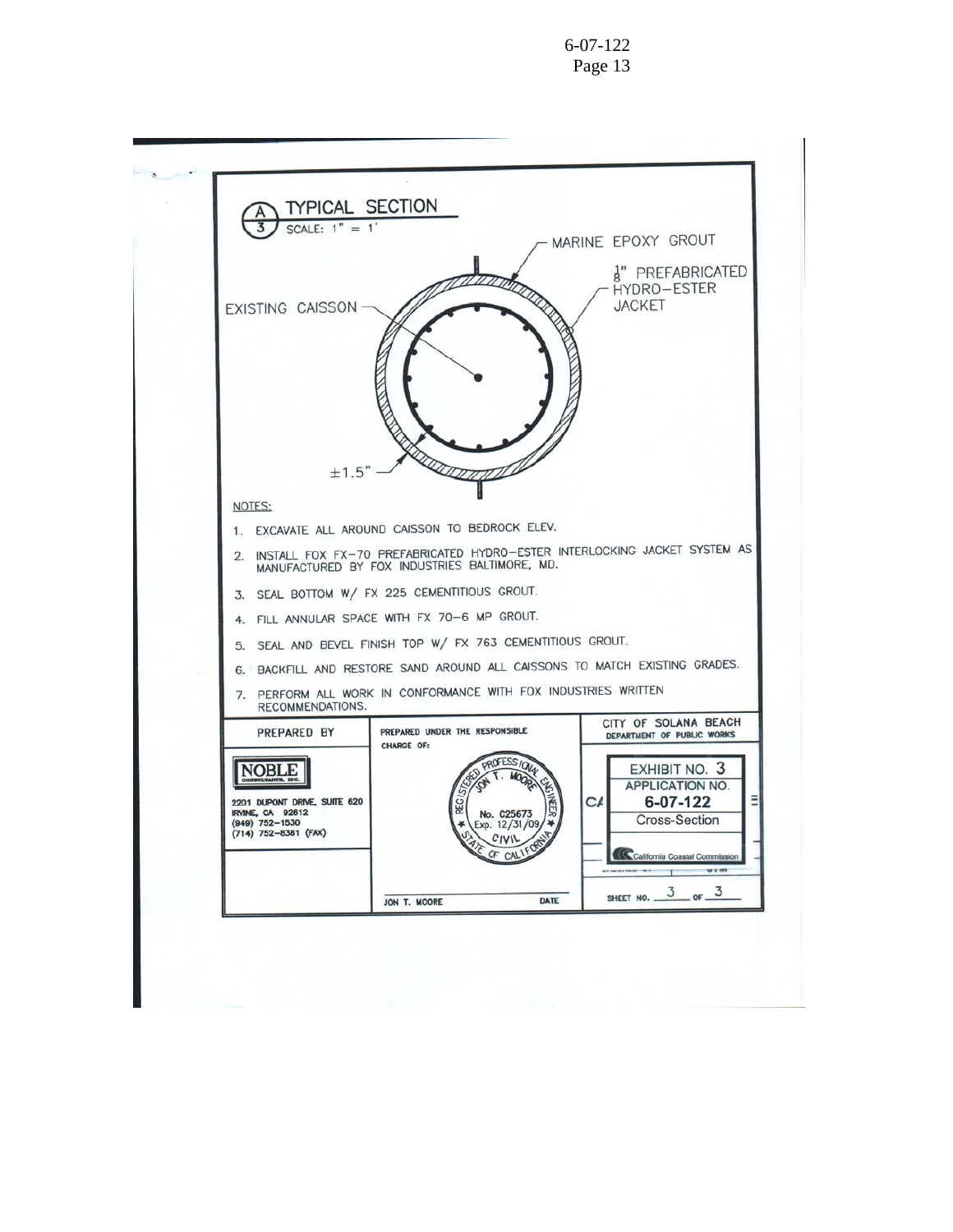